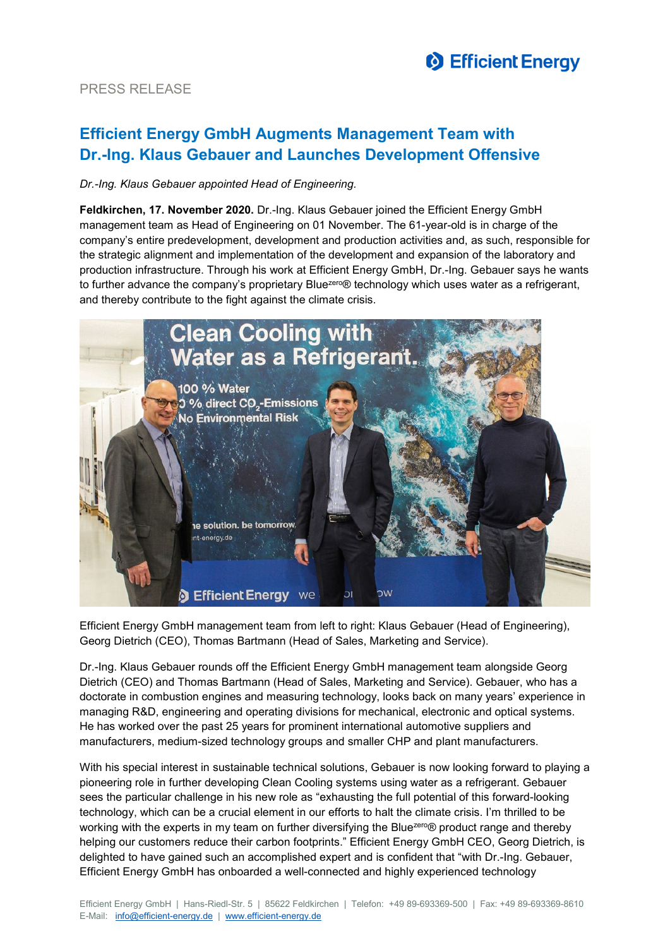

## PRESS RELEASE

# **Efficient Energy GmbH Augments Management Team with Dr.-Ing. Klaus Gebauer and Launches Development Offensive**

### *Dr.-Ing. Klaus Gebauer appointed Head of Engineering.*

**Feldkirchen, 17. November 2020.** Dr.-Ing. Klaus Gebauer joined the Efficient Energy GmbH management team as Head of Engineering on 01 November. The 61-year-old is in charge of the company's entire predevelopment, development and production activities and, as such, responsible for the strategic alignment and implementation of the development and expansion of the laboratory and production infrastructure. Through his work at Efficient Energy GmbH, Dr.-Ing. Gebauer says he wants to further advance the company's proprietary Bluezero® technology which uses water as a refrigerant, and thereby contribute to the fight against the climate crisis.



Efficient Energy GmbH management team from left to right: Klaus Gebauer (Head of Engineering), Georg Dietrich (CEO), Thomas Bartmann (Head of Sales, Marketing and Service).

Dr.-Ing. Klaus Gebauer rounds off the Efficient Energy GmbH management team alongside Georg Dietrich (CEO) and Thomas Bartmann (Head of Sales, Marketing and Service). Gebauer, who has a doctorate in combustion engines and measuring technology, looks back on many years' experience in managing R&D, engineering and operating divisions for mechanical, electronic and optical systems. He has worked over the past 25 years for prominent international automotive suppliers and manufacturers, medium-sized technology groups and smaller CHP and plant manufacturers.

With his special interest in sustainable technical solutions, Gebauer is now looking forward to playing a pioneering role in further developing Clean Cooling systems using water as a refrigerant. Gebauer sees the particular challenge in his new role as "exhausting the full potential of this forward-looking technology, which can be a crucial element in our efforts to halt the climate crisis. I'm thrilled to be working with the experts in my team on further diversifying the Bluezero® product range and thereby helping our customers reduce their carbon footprints." Efficient Energy GmbH CEO, Georg Dietrich, is delighted to have gained such an accomplished expert and is confident that "with Dr.-Ing. Gebauer, Efficient Energy GmbH has onboarded a well-connected and highly experienced technology